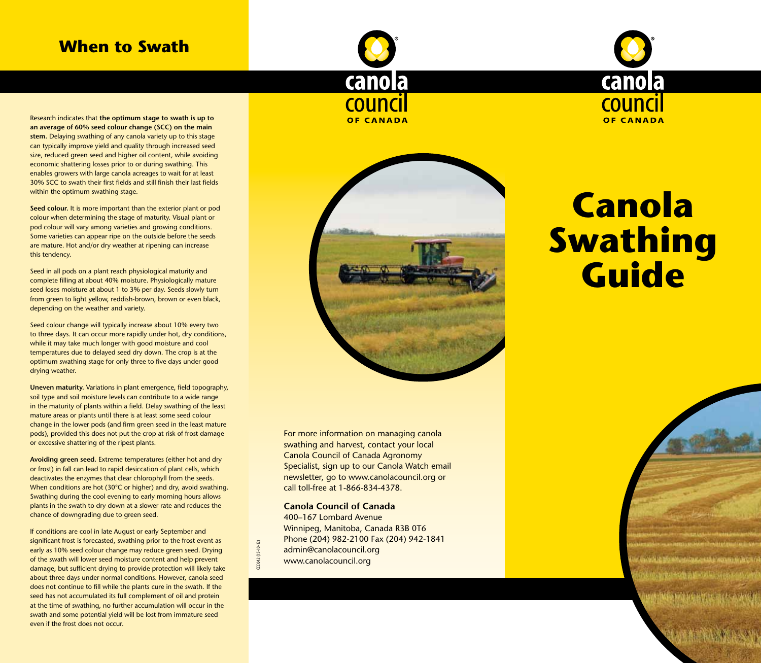# **When to Swath**





Research indicates that **the optimum stage to swath is up to an average of 60% seed colour change (SCC) on the main stem.** Delaying swathing of any canola variety up to this stage can typically improve yield and quality through increased seed size, reduced green seed and higher oil content, while avoiding economic shattering losses prior to or during swathing. This enables growers with large canola acreages to wait for at least 30% SCC to swath their first fields and still finish their last fields within the optimum swathing stage.

**Seed colour.** It is more important than the exterior plant or pod colour when determining the stage of maturity. Visual plant or pod colour will vary among varieties and growing conditions. Some varieties can appear ripe on the outside before the seeds are mature. Hot and/or dry weather at ripening can increase this tendency.

Seed in all pods on a plant reach physiological maturity and complete filling at about 40% moisture. Physiologically mature seed loses moisture at about 1 to 3% per day. Seeds slowly turn from green to light yellow, reddish-brown, brown or even black, depending on the weather and variety.

Seed colour change will typically increase about 10% every two to three days. It can occur more rapidly under hot, dry conditions, while it may take much longer with good moisture and cool temperatures due to delayed seed dry down. The crop is at the optimum swathing stage for only three to five days under good drying weather.

**Uneven maturity.** Variations in plant emergence, field topography, soil type and soil moisture levels can contribute to a wide range in the maturity of plants within a field. Delay swathing of the least mature areas or plants until there is at least some seed colour change in the lower pods (and firm green seed in the least mature pods), provided this does not put the crop at risk of frost damage or excessive shattering of the ripest plants.

**Avoiding green seed.** Extreme temperatures (either hot and dry or frost) in fall can lead to rapid desiccation of plant cells, which deactivates the enzymes that clear chlorophyll from the seeds. When conditions are hot (30°C or higher) and dry, avoid swathing. Swathing during the cool evening to early morning hours allows plants in the swath to dry down at a slower rate and reduces the chance of downgrading due to green seed.

If conditions are cool in late August or early September and significant frost is forecasted, swathing prior to the frost event as early as 10% seed colour change may reduce green seed. Drying of the swath will lower seed moisture content and help prevent damage, but sufficient drying to provide protection will likely take about three days under normal conditions. However, canola seed does not continue to fill while the plants cure in the swath. If the seed has not accumulated its full complement of oil and protein at the time of swathing, no further accumulation will occur in the swath and some potential yield will be lost from immature seed even if the frost does not occur.



# **Canola Swathing Guide**

For more information on managing canola swathing and harvest, contact your local Canola Council of Canada Agronomy Specialist, sign up to our Canola Watch email newsletter, go to www.canolacouncil.org or call toll-free at 1-866-834-4378.

### **Canola Council of Canada**

CCC 042 (15-10-12)

CC 042 (15-10-12)

400–167 Lombard Avenue Winnipeg, Manitoba, Canada R3B 0T6 Phone (204) 982-2100 Fax (204) 942-1841 admin@canolacouncil.org www.canolacouncil.org